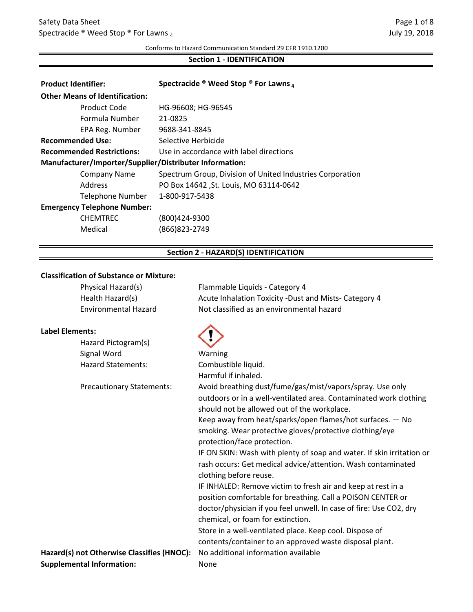#### Conforms to Hazard Communication Standard 29 CFR 1910.1200

## **Section 1 - IDENTIFICATION**

| <b>Product Identifier:</b>                              | Spectracide ® Weed Stop ® For Lawns 4                     |  |
|---------------------------------------------------------|-----------------------------------------------------------|--|
| <b>Other Means of Identification:</b>                   |                                                           |  |
| Product Code                                            | HG-96608; HG-96545                                        |  |
| Formula Number                                          | 21-0825                                                   |  |
| EPA Reg. Number                                         | 9688-341-8845                                             |  |
| <b>Recommended Use:</b>                                 | Selective Herbicide                                       |  |
| <b>Recommended Restrictions:</b>                        | Use in accordance with label directions                   |  |
| Manufacturer/Importer/Supplier/Distributer Information: |                                                           |  |
| Company Name                                            | Spectrum Group, Division of United Industries Corporation |  |
| Address                                                 | PO Box 14642 , St. Louis, MO 63114-0642                   |  |
| Telephone Number                                        | 1-800-917-5438                                            |  |
| <b>Emergency Telephone Number:</b>                      |                                                           |  |
| <b>CHEMTREC</b>                                         | (800)424-9300                                             |  |
| Medical                                                 | $(866)823 - 2749$                                         |  |

# **Section 2 - HAZARD(S) IDENTIFICATION**

#### **Classification of Substance or Mixture:**

|                        | Physical Hazard(s)                         | Flammable Liquids - Category 4                                        |
|------------------------|--------------------------------------------|-----------------------------------------------------------------------|
|                        | Health Hazard(s)                           | Acute Inhalation Toxicity -Dust and Mists- Category 4                 |
|                        | <b>Environmental Hazard</b>                | Not classified as an environmental hazard                             |
| <b>Label Elements:</b> |                                            |                                                                       |
|                        | Hazard Pictogram(s)                        |                                                                       |
|                        | Signal Word                                | Warning                                                               |
|                        | <b>Hazard Statements:</b>                  | Combustible liquid.                                                   |
|                        |                                            | Harmful if inhaled.                                                   |
|                        | <b>Precautionary Statements:</b>           | Avoid breathing dust/fume/gas/mist/vapors/spray. Use only             |
|                        |                                            | outdoors or in a well-ventilated area. Contaminated work clothing     |
|                        |                                            | should not be allowed out of the workplace.                           |
|                        |                                            | Keep away from heat/sparks/open flames/hot surfaces. - No             |
|                        |                                            | smoking. Wear protective gloves/protective clothing/eye               |
|                        |                                            | protection/face protection.                                           |
|                        |                                            | IF ON SKIN: Wash with plenty of soap and water. If skin irritation or |
|                        |                                            | rash occurs: Get medical advice/attention. Wash contaminated          |
|                        |                                            | clothing before reuse.                                                |
|                        |                                            | IF INHALED: Remove victim to fresh air and keep at rest in a          |
|                        |                                            | position comfortable for breathing. Call a POISON CENTER or           |
|                        |                                            | doctor/physician if you feel unwell. In case of fire: Use CO2, dry    |
|                        |                                            | chemical, or foam for extinction.                                     |
|                        |                                            | Store in a well-ventilated place. Keep cool. Dispose of               |
|                        |                                            | contents/container to an approved waste disposal plant.               |
|                        | Hazard(s) not Otherwise Classifies (HNOC): | No additional information available                                   |
|                        | <b>Supplemental Information:</b>           | None                                                                  |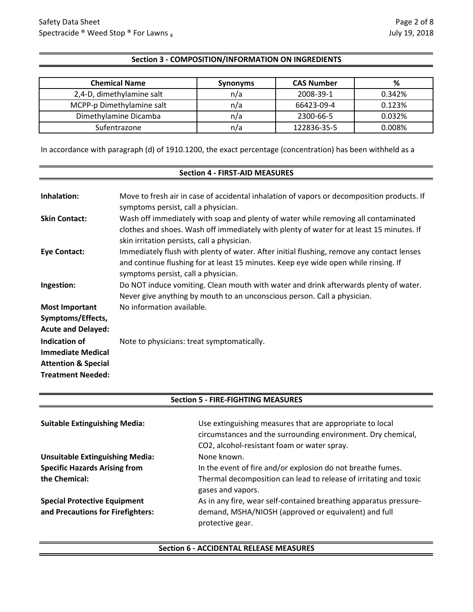## **Section 3 - COMPOSITION/INFORMATION ON INGREDIENTS**

| <b>Chemical Name</b>      | <b>Synonyms</b> | <b>CAS Number</b> | %      |
|---------------------------|-----------------|-------------------|--------|
| 2,4-D, dimethylamine salt | n/a             | 2008-39-1         | 0.342% |
| MCPP-p Dimethylamine salt | n/a             | 66423-09-4        | 0.123% |
| Dimethylamine Dicamba     | n/a             | 2300-66-5         | 0.032% |
| Sufentrazone              | n/a             | 122836-35-5       | 0.008% |

In accordance with paragraph (d) of 1910.1200, the exact percentage (concentration) has been withheld as a

## **Section 4 - FIRST-AID MEASURES**

| Inhalation:                                                                                                    | Move to fresh air in case of accidental inhalation of vapors or decomposition products. If<br>symptoms persist, call a physician.                                                                                             |
|----------------------------------------------------------------------------------------------------------------|-------------------------------------------------------------------------------------------------------------------------------------------------------------------------------------------------------------------------------|
| <b>Skin Contact:</b>                                                                                           | Wash off immediately with soap and plenty of water while removing all contaminated<br>clothes and shoes. Wash off immediately with plenty of water for at least 15 minutes. If<br>skin irritation persists, call a physician. |
| Eye Contact:                                                                                                   | Immediately flush with plenty of water. After initial flushing, remove any contact lenses<br>and continue flushing for at least 15 minutes. Keep eye wide open while rinsing. If<br>symptoms persist, call a physician.       |
| Ingestion:                                                                                                     | Do NOT induce vomiting. Clean mouth with water and drink afterwards plenty of water.<br>Never give anything by mouth to an unconscious person. Call a physician.                                                              |
| <b>Most Important</b><br>Symptoms/Effects,<br><b>Acute and Delayed:</b>                                        | No information available.                                                                                                                                                                                                     |
| <b>Indication of</b><br><b>Immediate Medical</b><br><b>Attention &amp; Special</b><br><b>Treatment Needed:</b> | Note to physicians: treat symptomatically.                                                                                                                                                                                    |

| <b>Suitable Extinguishing Media:</b>   | Use extinguishing measures that are appropriate to local<br>circumstances and the surrounding environment. Dry chemical,<br>CO2, alcohol-resistant foam or water spray. |
|----------------------------------------|-------------------------------------------------------------------------------------------------------------------------------------------------------------------------|
| <b>Unsuitable Extinguishing Media:</b> | None known.                                                                                                                                                             |
| <b>Specific Hazards Arising from</b>   | In the event of fire and/or explosion do not breathe fumes.                                                                                                             |
| the Chemical:                          | Thermal decomposition can lead to release of irritating and toxic<br>gases and vapors.                                                                                  |
| <b>Special Protective Equipment</b>    | As in any fire, wear self-contained breathing apparatus pressure-                                                                                                       |
| and Precautions for Firefighters:      | demand, MSHA/NIOSH (approved or equivalent) and full<br>protective gear.                                                                                                |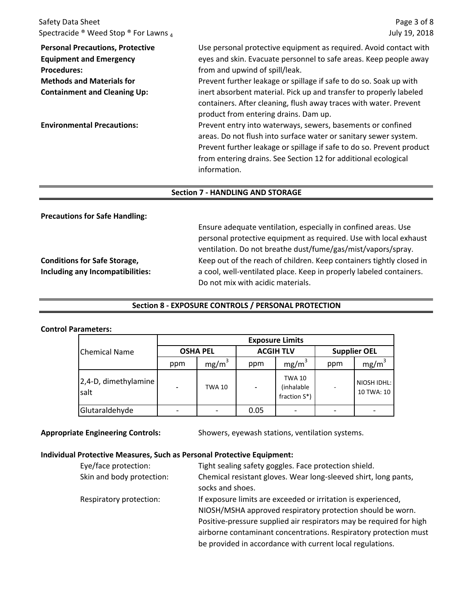Safety Data Sheet Spectracide ® Weed Stop ® For Lawns 4

Page 3 of 8 July 19, 2018

| <b>Personal Precautions, Protective</b><br><b>Equipment and Emergency</b><br><b>Procedures:</b><br><b>Methods and Materials for</b> | Use personal protective equipment as required. Avoid contact with<br>eyes and skin. Evacuate personnel to safe areas. Keep people away<br>from and upwind of spill/leak.<br>Prevent further leakage or spillage if safe to do so. Soak up with                                             |
|-------------------------------------------------------------------------------------------------------------------------------------|--------------------------------------------------------------------------------------------------------------------------------------------------------------------------------------------------------------------------------------------------------------------------------------------|
| <b>Containment and Cleaning Up:</b>                                                                                                 | inert absorbent material. Pick up and transfer to properly labeled<br>containers. After cleaning, flush away traces with water. Prevent<br>product from entering drains. Dam up.                                                                                                           |
| <b>Environmental Precautions:</b>                                                                                                   | Prevent entry into waterways, sewers, basements or confined<br>areas. Do not flush into surface water or sanitary sewer system.<br>Prevent further leakage or spillage if safe to do so. Prevent product<br>from entering drains. See Section 12 for additional ecological<br>information. |

#### **Section 7 - HANDLING AND STORAGE**

**Precautions for Safe Handling:**

**Conditions for Safe Storage, Including any Incompatibilities:**

Ensure adequate ventilation, especially in confined areas. Use personal protective equipment as required. Use with local exhaust ventilation. Do not breathe dust/fume/gas/mist/vapors/spray. Keep out of the reach of children. Keep containers tightly closed in a cool, well-ventilated place. Keep in properly labeled containers. Do not mix with acidic materials.

## **Section 8 - EXPOSURE CONTROLS / PERSONAL PROTECTION**

#### **Control Parameters:**

|                              | <b>Exposure Limits</b>   |                   |                  |                                                 |                     |                           |
|------------------------------|--------------------------|-------------------|------------------|-------------------------------------------------|---------------------|---------------------------|
| <b>Chemical Name</b>         | <b>OSHA PEL</b>          |                   | <b>ACGIH TLV</b> |                                                 | <b>Supplier OEL</b> |                           |
|                              | ppm                      | mg/m <sup>3</sup> | ppm              | mg/m <sup>3</sup>                               | ppm                 | mg/m <sup>3</sup>         |
| 2,4-D, dimethylamine<br>salt | $\overline{\phantom{a}}$ | <b>TWA 10</b>     |                  | <b>TWA 10</b><br>(inhalable<br>fraction $S^*$ ) |                     | NIOSH IDHL:<br>10 TWA: 10 |
| Glutaraldehyde               |                          |                   | 0.05             |                                                 |                     |                           |

#### **Appropriate Engineering Controls:**

Showers, eyewash stations, ventilation systems.

#### **Individual Protective Measures, Such as Personal Protective Equipment:**

| Eye/face protection:      | Tight sealing safety goggles. Face protection shield.               |
|---------------------------|---------------------------------------------------------------------|
| Skin and body protection: | Chemical resistant gloves. Wear long-sleeved shirt, long pants,     |
|                           | socks and shoes.                                                    |
| Respiratory protection:   | If exposure limits are exceeded or irritation is experienced,       |
|                           | NIOSH/MSHA approved respiratory protection should be worn.          |
|                           | Positive-pressure supplied air respirators may be required for high |
|                           | airborne contaminant concentrations. Respiratory protection must    |
|                           | be provided in accordance with current local regulations.           |
|                           |                                                                     |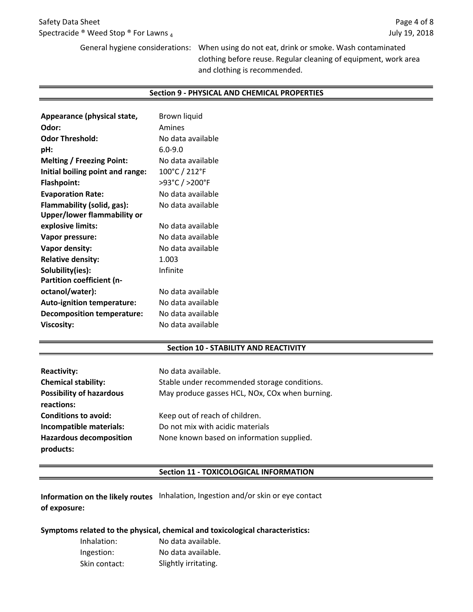General hygiene considerations: When using do not eat, drink or smoke. Wash contaminated clothing before reuse. Regular cleaning of equipment, work area and clothing is recommended.

#### **Section 9 - PHYSICAL AND CHEMICAL PROPERTIES**

| Appearance (physical state,       | Brown liquid      |
|-----------------------------------|-------------------|
| Odor:                             | Amines            |
| <b>Odor Threshold:</b>            | No data available |
| pH:                               | $6.0 - 9.0$       |
| <b>Melting / Freezing Point:</b>  | No data available |
| Initial boiling point and range:  | 100°C / 212°F     |
| <b>Flashpoint:</b>                | >93°C / >200°F    |
| <b>Evaporation Rate:</b>          | No data available |
| Flammability (solid, gas):        | No data available |
| Upper/lower flammability or       |                   |
| explosive limits:                 | No data available |
| Vapor pressure:                   | No data available |
| Vapor density:                    | No data available |
| <b>Relative density:</b>          | 1.003             |
| Solubility(ies):                  | Infinite          |
| Partition coefficient (n-         |                   |
| octanol/water):                   | No data available |
| <b>Auto-ignition temperature:</b> | No data available |
| <b>Decomposition temperature:</b> | No data available |
| <b>Viscosity:</b>                 | No data available |

#### **Section 10 - STABILITY AND REACTIVITY**

| <b>Reactivity:</b>                            | No data available.                             |
|-----------------------------------------------|------------------------------------------------|
| <b>Chemical stability:</b>                    | Stable under recommended storage conditions.   |
| <b>Possibility of hazardous</b><br>reactions: | May produce gasses HCL, NOx, COx when burning. |
| <b>Conditions to avoid:</b>                   | Keep out of reach of children.                 |
| Incompatible materials:                       | Do not mix with acidic materials               |
| <b>Hazardous decomposition</b><br>products:   | None known based on information supplied.      |

#### **Section 11 - TOXICOLOGICAL INFORMATION**

**Information on the likely routes** Inhalation, Ingestion and/or skin or eye contact **of exposure:**

#### **Symptoms related to the physical, chemical and toxicological characteristics:**

| Inhalation:   | No data available.   |
|---------------|----------------------|
| Ingestion:    | No data available.   |
| Skin contact: | Slightly irritating. |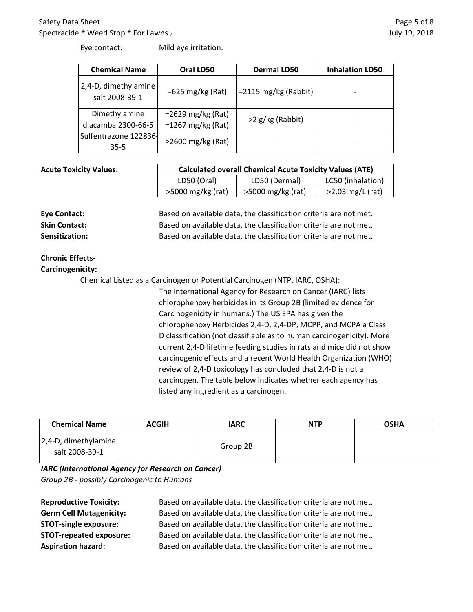## Safety Data Sheet Spectracide ® Weed Stop ® For Lawns 4

| <b>Chemical Name</b>                   | Oral LD50                                  | <b>Dermal LD50</b>      | <b>Inhalation LD50</b> |
|----------------------------------------|--------------------------------------------|-------------------------|------------------------|
| 2,4-D, dimethylamine<br>salt 2008-39-1 | $=625 \text{ mg/kg}$ (Rat)                 | $= 2115$ mg/kg (Rabbit) |                        |
| Dimethylamine<br>diacamba 2300-66-5    | $=2629$ mg/kg (Rat)<br>$=1267$ mg/kg (Rat) | >2 g/kg (Rabbit)        |                        |
| Sulfentrazone 122836<br>$35 - 5$       | $>$ 2600 mg/kg (Rat)                       |                         |                        |

#### **Acute Toxicity Values:**

| <b>Calculated overall Chemical Acute Toxicity Values (ATE)</b> |                   |                    |  |
|----------------------------------------------------------------|-------------------|--------------------|--|
| LD50 (Oral)                                                    | LD50 (Dermal)     | LC50 (inhalation)  |  |
| >5000 mg/kg (rat)                                              | >5000 mg/kg (rat) | $>2.03$ mg/L (rat) |  |

**Eye Contact:** Based on available data, the classification criteria are not met. **Skin Contact:** Based on available data, the classification criteria are not met. **Sensitization:** Based on available data, the classification criteria are not met.

# **Chronic Effects-**

**Carcinogenicity:**

Chemical Listed as a Carcinogen or Potential Carcinogen (NTP, IARC, OSHA):

The International Agency for Research on Cancer (IARC) lists chlorophenoxy herbicides in its Group 2B (limited evidence for Carcinogenicity in humans.) The US EPA has given the chlorophenoxy Herbicides 2,4-D, 2,4-DP, MCPP, and MCPA a Class D classification (not classifiable as to human carcinogenicity). More current 2,4-D lifetime feeding studies in rats and mice did not show carcinogenic effects and a recent World Health Organization (WHO) review of 2,4-D toxicology has concluded that 2,4-D is not a carcinogen. The table below indicates whether each agency has listed any ingredient as a carcinogen.

| <b>Chemical Name</b>                   | <b>ACGIH</b> | <b>IARC</b> | <b>NTP</b> | <b>OSHA</b> |
|----------------------------------------|--------------|-------------|------------|-------------|
| 2,4-D, dimethylamine<br>salt 2008-39-1 |              | Group 2B    |            |             |

*Group 2B - possibly Carcinogenic to Humans IARC (International Agency for Research on Cancer)*

**Reproductive Toxicity: Germ Cell Mutagenicity: STOT-single exposure: STOT-repeated exposure: Aspiration hazard:**

Based on available data, the classification criteria are not met. Based on available data, the classification criteria are not met. Based on available data, the classification criteria are not met. Based on available data, the classification criteria are not met. Based on available data, the classification criteria are not met.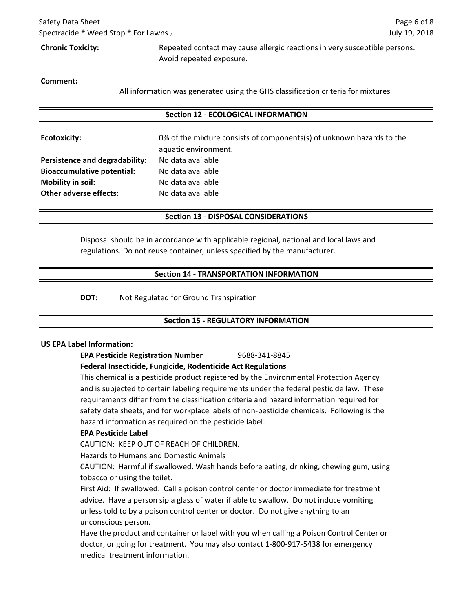| Safety Data Sheet                                                    |                                                                            | Page 6 of 8   |
|----------------------------------------------------------------------|----------------------------------------------------------------------------|---------------|
| Spectracide $\mathcal{O}$ Weed Stop $\mathcal{O}$ For Lawns $\alpha$ |                                                                            | July 19, 2018 |
| <b>Chronic Toxicity:</b>                                             | Repeated contact may cause allergic reactions in very susceptible persons. |               |
|                                                                      | Avoid repeated exposure.                                                   |               |

**Comment:**

All information was generated using the GHS classification criteria for mixtures

#### **Section 12 - ECOLOGICAL INFORMATION**

| <b>Ecotoxicity:</b>               | 0% of the mixture consists of components(s) of unknown hazards to the<br>aquatic environment. |
|-----------------------------------|-----------------------------------------------------------------------------------------------|
| Persistence and degradability:    | No data available                                                                             |
| <b>Bioaccumulative potential:</b> | No data available                                                                             |
| <b>Mobility in soil:</b>          | No data available                                                                             |
| <b>Other adverse effects:</b>     | No data available                                                                             |

#### **Section 13 - DISPOSAL CONSIDERATIONS**

Disposal should be in accordance with applicable regional, national and local laws and regulations. Do not reuse container, unless specified by the manufacturer.

#### **Section 14 - TRANSPORTATION INFORMATION**

**DOT:** Not Regulated for Ground Transpiration

# **Section 15 - REGULATORY INFORMATION**

#### **US EPA Label Information:**

**EPA Pesticide Registration Number** 9688-341-8845

#### **Federal Insecticide, Fungicide, Rodenticide Act Regulations**

This chemical is a pesticide product registered by the Environmental Protection Agency and is subjected to certain labeling requirements under the federal pesticide law. These requirements differ from the classification criteria and hazard information required for safety data sheets, and for workplace labels of non-pesticide chemicals. Following is the hazard information as required on the pesticide label:

#### **EPA Pesticide Label**

CAUTION: KEEP OUT OF REACH OF CHILDREN.

Hazards to Humans and Domestic Animals

CAUTION: Harmful if swallowed. Wash hands before eating, drinking, chewing gum, using tobacco or using the toilet.

First Aid: If swallowed: Call a poison control center or doctor immediate for treatment advice. Have a person sip a glass of water if able to swallow. Do not induce vomiting unless told to by a poison control center or doctor. Do not give anything to an unconscious person.

Have the product and container or label with you when calling a Poison Control Center or doctor, or going for treatment. You may also contact 1-800-917-5438 for emergency medical treatment information.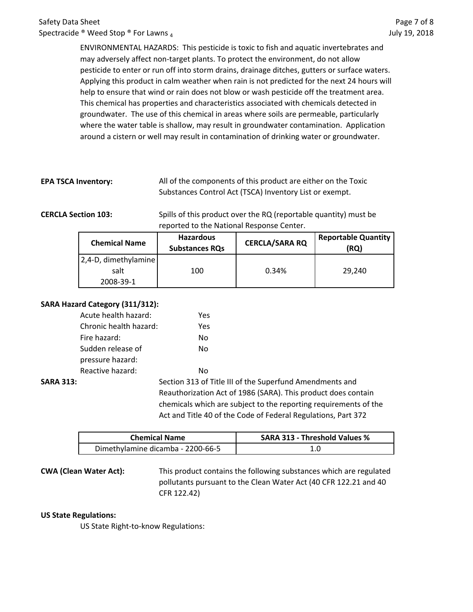ENVIRONMENTAL HAZARDS: This pesticide is toxic to fish and aquatic invertebrates and may adversely affect non-target plants. To protect the environment, do not allow pesticide to enter or run off into storm drains, drainage ditches, gutters or surface waters. Applying this product in calm weather when rain is not predicted for the next 24 hours will help to ensure that wind or rain does not blow or wash pesticide off the treatment area. This chemical has properties and characteristics associated with chemicals detected in groundwater. The use of this chemical in areas where soils are permeable, particularly where the water table is shallow, may result in groundwater contamination. Application around a cistern or well may result in contamination of drinking water or groundwater.

**EPA TSCA Inventory:** All of the components of this product are either on the Toxic Substances Control Act (TSCA) Inventory List or exempt.

**CERCLA Section 103:** Spills of this product over the RQ (reportable quantity) must be reported to the National Response Center.

| <b>Chemical Name</b> | <b>Hazardous</b><br><b>Substances RQs</b> | <b>CERCLA/SARA RQ</b> | <b>Reportable Quantity</b><br>(RQ) |
|----------------------|-------------------------------------------|-----------------------|------------------------------------|
| 2,4-D, dimethylamine |                                           |                       |                                    |
| salt                 | 100                                       | 0.34%                 | 29,240                             |
| 2008-39-1            |                                           |                       |                                    |

#### **SARA Hazard Category (311/312):**

| Acute health hazard:   |  | Yes              |
|------------------------|--|------------------|
| Chronic health hazard: |  | Yes              |
| Fire hazard:           |  | No               |
| Sudden release of      |  | N٥               |
| pressure hazard:       |  |                  |
| Reactive hazard:       |  | N٥               |
|                        |  | Section 313 of T |
|                        |  |                  |

**SARA 313:** Section 313 of Title III of the Superfund Amendments and Reauthorization Act of 1986 (SARA). This product does contain chemicals which are subject to the reporting requirements of the Act and Title 40 of the Code of Federal Regulations, Part 372

| <b>Chemical Name</b>              | <b>SARA 313 - Threshold Values %</b> |  |
|-----------------------------------|--------------------------------------|--|
| Dimethylamine dicamba - 2200-66-5 |                                      |  |

**CWA (Clean Water Act):** This product contains the following substances which are regulated pollutants pursuant to the Clean Water Act (40 CFR 122.21 and 40 CFR 122.42)

#### **US State Regulations:**

US State Right-to-know Regulations: